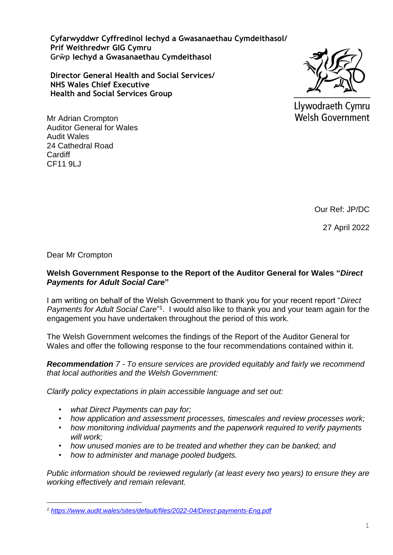**Cyfarwyddwr Cyffredinol Iechyd a Gwasanaethau Cymdeithasol/ Prif Weithredwr GIG Cymru Grŵp Iechyd a Gwasanaethau Cymdeithasol**

**Director General Health and Social Services/ NHS Wales Chief Executive Health and Social Services Group**



Llywodraeth Cymru **Welsh Government** 

Mr Adrian Crompton Auditor General for Wales Audit Wales 24 Cathedral Road **Cardiff** CF11 9LJ

Our Ref: JP/DC

27 April 2022

Dear Mr Crompton

## **Welsh Government Response to the Report of the Auditor General for Wales "***Direct Payments for Adult Social Care***"**

I am writing on behalf of the Welsh Government to thank you for your recent report "*Direct*  Payments for Adult Social Care<sup>"1</sup>. I would also like to thank you and your team again for the engagement you have undertaken throughout the period of this work.

The Welsh Government welcomes the findings of the Report of the Auditor General for Wales and offer the following response to the four recommendations contained within it.

*Recommendation 7 - To ensure services are provided equitably and fairly we recommend that local authorities and the Welsh Government:*

*Clarify policy expectations in plain accessible language and set out:* 

- *what Direct Payments can pay for;*
- *how application and assessment processes, timescales and review processes work;*
- *how monitoring individual payments and the paperwork required to verify payments will work;*
- *how unused monies are to be treated and whether they can be banked; and*
- *how to administer and manage pooled budgets.*

*Public information should be reviewed regularly (at least every two years) to ensure they are working effectively and remain relevant.*

*<sup>1</sup> <https://www.audit.wales/sites/default/files/2022-04/Direct-payments-Eng.pdf>*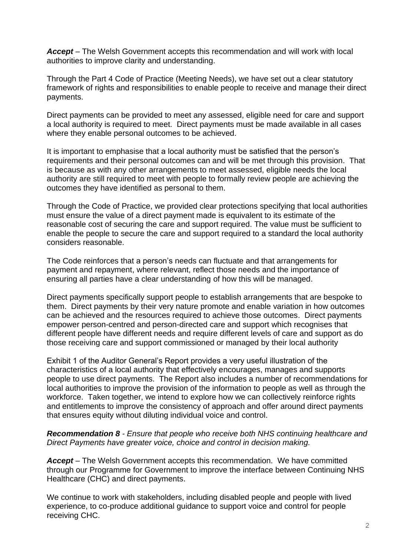*Accept* – The Welsh Government accepts this recommendation and will work with local authorities to improve clarity and understanding.

Through the Part 4 Code of Practice (Meeting Needs), we have set out a clear statutory framework of rights and responsibilities to enable people to receive and manage their direct payments.

Direct payments can be provided to meet any assessed, eligible need for care and support a local authority is required to meet. Direct payments must be made available in all cases where they enable personal outcomes to be achieved.

It is important to emphasise that a local authority must be satisfied that the person's requirements and their personal outcomes can and will be met through this provision. That is because as with any other arrangements to meet assessed, eligible needs the local authority are still required to meet with people to formally review people are achieving the outcomes they have identified as personal to them.

Through the Code of Practice, we provided clear protections specifying that local authorities must ensure the value of a direct payment made is equivalent to its estimate of the reasonable cost of securing the care and support required. The value must be sufficient to enable the people to secure the care and support required to a standard the local authority considers reasonable.

The Code reinforces that a person's needs can fluctuate and that arrangements for payment and repayment, where relevant, reflect those needs and the importance of ensuring all parties have a clear understanding of how this will be managed.

Direct payments specifically support people to establish arrangements that are bespoke to them. Direct payments by their very nature promote and enable variation in how outcomes can be achieved and the resources required to achieve those outcomes. Direct payments empower person-centred and person-directed care and support which recognises that different people have different needs and require different levels of care and support as do those receiving care and support commissioned or managed by their local authority

Exhibit 1 of the Auditor General's Report provides a very useful illustration of the characteristics of a local authority that effectively encourages, manages and supports people to use direct payments. The Report also includes a number of recommendations for local authorities to improve the provision of the information to people as well as through the workforce. Taken together, we intend to explore how we can collectively reinforce rights and entitlements to improve the consistency of approach and offer around direct payments that ensures equity without diluting individual voice and control.

## *Recommendation 8 - Ensure that people who receive both NHS continuing healthcare and Direct Payments have greater voice, choice and control in decision making.*

*Accept* – The Welsh Government accepts this recommendation. We have committed through our Programme for Government to improve the interface between Continuing NHS Healthcare (CHC) and direct payments.

We continue to work with stakeholders, including disabled people and people with lived experience, to co-produce additional guidance to support voice and control for people receiving CHC.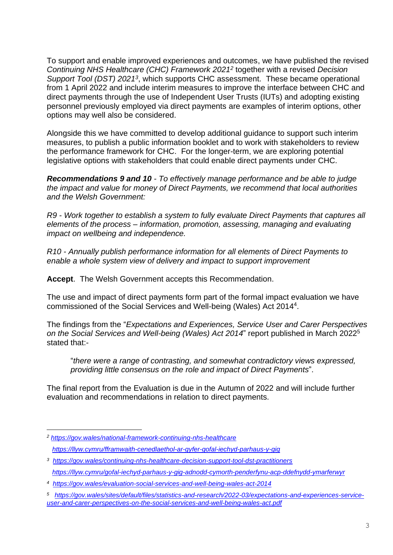To support and enable improved experiences and outcomes, we have published the revised *Continuing NHS Healthcare (CHC) Framework 2021<sup>2</sup>* together with a revised *Decision*  Support Tool (DST) 2021<sup>3</sup>, which supports CHC assessment. These became operational from 1 April 2022 and include interim measures to improve the interface between CHC and direct payments through the use of Independent User Trusts (IUTs) and adopting existing personnel previously employed via direct payments are examples of interim options, other options may well also be considered.

Alongside this we have committed to develop additional guidance to support such interim measures, to publish a public information booklet and to work with stakeholders to review the performance framework for CHC. For the longer-term, we are exploring potential legislative options with stakeholders that could enable direct payments under CHC.

*Recommendations 9 and 10 - To effectively manage performance and be able to judge the impact and value for money of Direct Payments, we recommend that local authorities and the Welsh Government:*

*R9 - Work together to establish a system to fully evaluate Direct Payments that captures all elements of the process – information, promotion, assessing, managing and evaluating impact on wellbeing and independence.* 

*R10 - Annually publish performance information for all elements of Direct Payments to enable a whole system view of delivery and impact to support improvement*

**Accept**. The Welsh Government accepts this Recommendation.

The use and impact of direct payments form part of the formal impact evaluation we have commissioned of the Social Services and Well-being (Wales) Act 2014<sup>4</sup> .

The findings from the "*Expectations and Experiences, Service User and Carer Perspectives on the Social Services and Well-being (Wales) Act 2014*" report published in March 2022<sup>5</sup> stated that:-

"*there were a range of contrasting, and somewhat contradictory views expressed, providing little consensus on the role and impact of Direct Payments*".

The final report from the Evaluation is due in the Autumn of 2022 and will include further evaluation and recommendations in relation to direct payments.

*<sup>2</sup> [https://gov.wales/national-framework-continuing-nhs-healthcare](https://eur01.safelinks.protection.outlook.com/?url=https%3A%2F%2Fgov.wales%2Fnational-framework-continuing-nhs-healthcare&data=04%7C01%7CDavid.Clayton%40gov.wales%7C8521563ca05646d5594008da135aad1d%7Ca2cc36c592804ae78887d06dab89216b%7C0%7C0%7C637843577430374559%7CUnknown%7CTWFpbGZsb3d8eyJWIjoiMC4wLjAwMDAiLCJQIjoiV2luMzIiLCJBTiI6Ik1haWwiLCJXVCI6Mn0%3D%7C3000&sdata=afi9JDlIrU0s%2FRcPsfeqlJR3pnUx4CGmLHLDE8zDHug%3D&reserved=0) <https://llyw.cymru/fframwaith-cenedlaethol-ar-gyfer-gofal-iechyd-parhaus-y-gig>*

*<sup>3</sup> <https://gov.wales/continuing-nhs-healthcare-decision-support-tool-dst-practitioners> <https://llyw.cymru/gofal-iechyd-parhaus-y-gig-adnodd-cymorth-penderfynu-acp-ddefnydd-ymarferwyr>*

*<sup>4</sup> <https://gov.wales/evaluation-social-services-and-well-being-wales-act-2014>*

*<sup>5</sup> [https://gov.wales/sites/default/files/statistics-and-research/2022-03/expectations-and-experiences-service](https://gov.wales/sites/default/files/statistics-and-research/2022-03/expectations-and-experiences-service-user-and-carer-perspectives-on-the-social-services-and-well-being-wales-act.pdf)[user-and-carer-perspectives-on-the-social-services-and-well-being-wales-act.pdf](https://gov.wales/sites/default/files/statistics-and-research/2022-03/expectations-and-experiences-service-user-and-carer-perspectives-on-the-social-services-and-well-being-wales-act.pdf)*